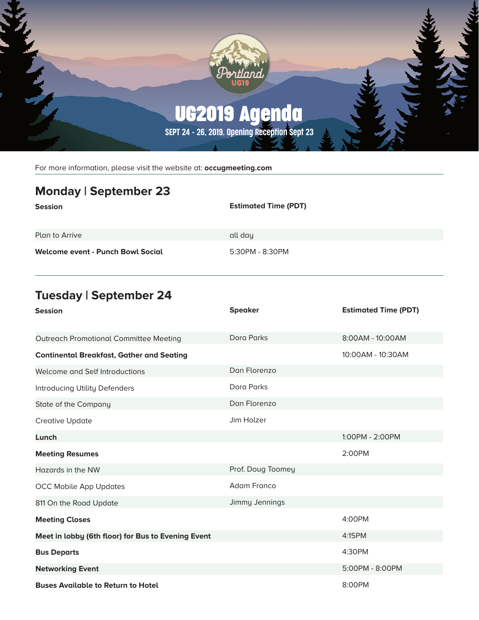

For more information, please visit the website at: **occugmeeting.com**

## **Monday | September 23**

| <b>Session</b>                           | <b>Estimated Time (PDT)</b> |
|------------------------------------------|-----------------------------|
| Plan to Arrive                           | all day                     |
| <b>Welcome event - Punch Bowl Social</b> | 5:30PM - 8:30PM             |

## **Tuesday | September 24**

| <b>Session</b>                                     | <b>Speaker</b>    | <b>Estimated Time (PDT)</b> |
|----------------------------------------------------|-------------------|-----------------------------|
| <b>Outreach Promotional Committee Meeting</b>      | Dora Parks        | 8:00AM - 10:00AM            |
| <b>Continental Breakfast, Gather and Seating</b>   |                   | 10:00AM - 10:30AM           |
| Welcome and Self Introductions                     | Dan Florenzo      |                             |
| Introducing Utility Defenders                      | Dora Parks        |                             |
| State of the Company                               | Dan Florenzo      |                             |
| Creative Update                                    | Jim Holzer        |                             |
| Lunch                                              |                   | 1:00PM - 2:00PM             |
| <b>Meeting Resumes</b>                             |                   | 2:00PM                      |
| Hazards in the NW                                  | Prof. Doug Toomey |                             |
| <b>OCC Mobile App Updates</b>                      | Adam Franco       |                             |
| 811 On the Road Update                             | Jimmy Jennings    |                             |
| <b>Meeting Closes</b>                              |                   | 4:00PM                      |
| Meet in lobby (6th floor) for Bus to Evening Event |                   | 4:15PM                      |
| <b>Bus Departs</b>                                 |                   | 4:30PM                      |
| <b>Networking Event</b>                            |                   | 5:00PM - 8:00PM             |
| <b>Buses Available to Return to Hotel</b>          |                   | 8:00PM                      |